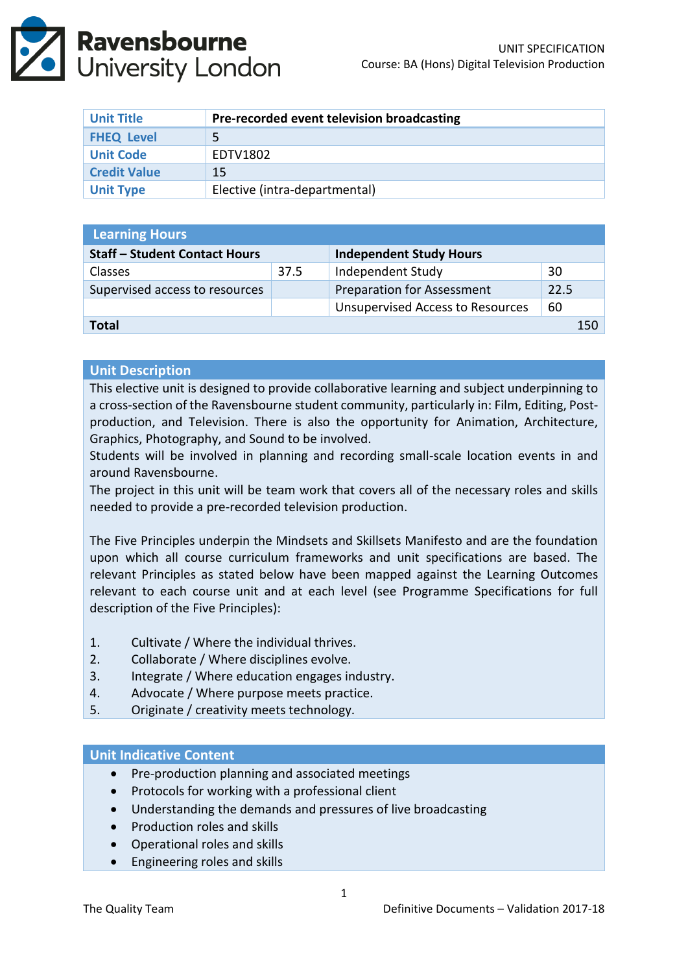

| <b>Unit Title</b>   | Pre-recorded event television broadcasting |
|---------------------|--------------------------------------------|
| <b>FHEQ Level</b>   |                                            |
| <b>Unit Code</b>    | EDTV1802                                   |
| <b>Credit Value</b> | 15                                         |
| <b>Unit Type</b>    | Elective (intra-departmental)              |

| <b>Learning Hours</b>                |      |                                         |      |  |  |
|--------------------------------------|------|-----------------------------------------|------|--|--|
| <b>Staff - Student Contact Hours</b> |      | <b>Independent Study Hours</b>          |      |  |  |
| <b>Classes</b>                       | 37.5 | Independent Study                       | 30   |  |  |
| Supervised access to resources       |      | <b>Preparation for Assessment</b>       | 22.5 |  |  |
|                                      |      | <b>Unsupervised Access to Resources</b> | 60   |  |  |
| <b>Total</b><br>150                  |      |                                         |      |  |  |

#### **Unit Description**

This elective unit is designed to provide collaborative learning and subject underpinning to a cross-section of the Ravensbourne student community, particularly in: Film, Editing, Postproduction, and Television. There is also the opportunity for Animation, Architecture, Graphics, Photography, and Sound to be involved.

Students will be involved in planning and recording small-scale location events in and around Ravensbourne.

The project in this unit will be team work that covers all of the necessary roles and skills needed to provide a pre-recorded television production.

The Five Principles underpin the Mindsets and Skillsets Manifesto and are the foundation upon which all course curriculum frameworks and unit specifications are based. The relevant Principles as stated below have been mapped against the Learning Outcomes relevant to each course unit and at each level (see Programme Specifications for full description of the Five Principles):

- 1. Cultivate / Where the individual thrives.
- 2. Collaborate / Where disciplines evolve.
- 3. Integrate / Where education engages industry.
- 4. Advocate / Where purpose meets practice.
- 5. Originate / creativity meets technology.

#### **Unit Indicative Content**

- Pre-production planning and associated meetings
- Protocols for working with a professional client
- Understanding the demands and pressures of live broadcasting
- Production roles and skills
- Operational roles and skills
- Engineering roles and skills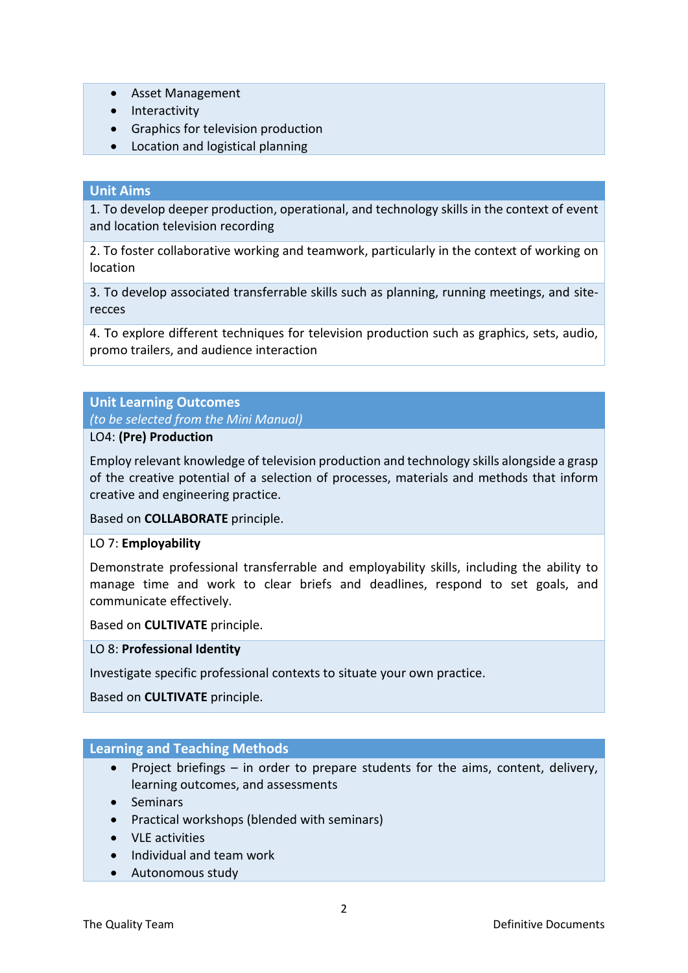- Asset Management
- Interactivity
- Graphics for television production
- Location and logistical planning

## **Unit Aims**

1. To develop deeper production, operational, and technology skills in the context of event and location television recording

2. To foster collaborative working and teamwork, particularly in the context of working on location

3. To develop associated transferrable skills such as planning, running meetings, and siterecces

4. To explore different techniques for television production such as graphics, sets, audio, promo trailers, and audience interaction

# **Unit Learning Outcomes**

*(to be selected from the Mini Manual)*

## LO4: **(Pre) Production**

Employ relevant knowledge of television production and technology skills alongside a grasp of the creative potential of a selection of processes, materials and methods that inform creative and engineering practice.

### Based on **COLLABORATE** principle.

### LO 7: **Employability**

Demonstrate professional transferrable and employability skills, including the ability to manage time and work to clear briefs and deadlines, respond to set goals, and communicate effectively.

Based on **CULTIVATE** principle.

### LO 8: **Professional Identity**

Investigate specific professional contexts to situate your own practice.

Based on **CULTIVATE** principle.

### **Learning and Teaching Methods**

- Project briefings  $-$  in order to prepare students for the aims, content, delivery, learning outcomes, and assessments
- Seminars
- Practical workshops (blended with seminars)
- VLE activities
- Individual and team work
- Autonomous study